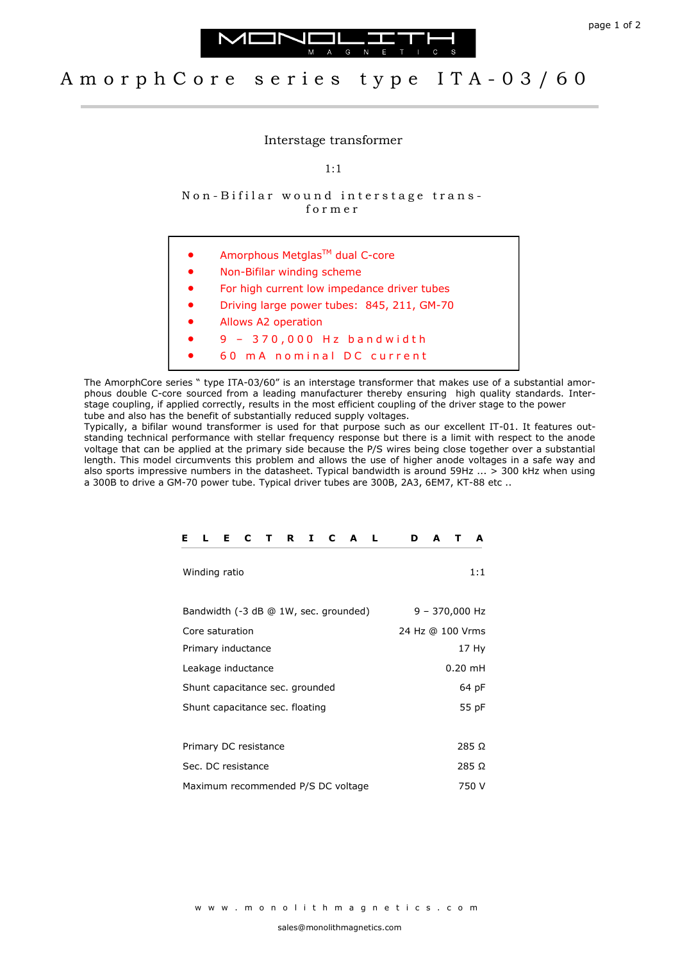



## A m o r p h C o r e s e r i e s t y p e I T A - 0 3 / 6 0

Interstage transformer

1:1

Non-Bifilar wound interstage transf o r m e r

| $\bullet$ | Amorphous Metglas™ dual C-core              |
|-----------|---------------------------------------------|
| $\bullet$ | Non-Bifilar winding scheme                  |
| $\bullet$ | For high current low impedance driver tubes |
| $\bullet$ | Driving large power tubes: 845, 211, GM-70  |
| $\bullet$ | Allows A2 operation                         |
|           | 9 - 370,000 Hz bandwidth                    |
|           | m A nominal DC current<br>6 N               |

The AmorphCore series " type ITA-03/60" is an interstage transformer that makes use of a substantial amorphous double C-core sourced from a leading manufacturer thereby ensuring high quality standards. Interstage coupling, if applied correctly, results in the most efficient coupling of the driver stage to the power tube and also has the benefit of substantially reduced supply voltages.

Typically, a bifilar wound transformer is used for that purpose such as our excellent IT-01. It features outstanding technical performance with stellar frequency response but there is a limit with respect to the anode voltage that can be applied at the primary side because the P/S wires being close together over a substantial length. This model circumvents this problem and allows the use of higher anode voltages in a safe way and also sports impressive numbers in the datasheet. Typical bandwidth is around 59Hz ... > 300 kHz when using a 300B to drive a GM-70 power tube. Typical driver tubes are 300B, 2A3, 6EM7, KT-88 etc ..

| Е.<br>R<br>L<br>C<br>C<br>Е<br>Ι.<br>A<br>$\mathbf{T}$ | D<br>A<br>A<br>т |
|--------------------------------------------------------|------------------|
| Winding ratio                                          | 1:1              |
| Bandwidth (-3 dB @ 1W, sec. grounded)                  | 9 - 370,000 Hz   |
| Core saturation                                        | 24 Hz @ 100 Vrms |
| Primary inductance                                     | 17 Hy            |
| Leakage inductance                                     | $0.20$ mH        |
| Shunt capacitance sec. grounded                        | 64 pF            |
| Shunt capacitance sec. floating                        | 55 pF            |
|                                                        |                  |
| Primary DC resistance                                  | 285 Ω            |
| Sec. DC resistance                                     | 285 Ω            |
| Maximum recommended P/S DC voltage                     | 750 V            |

w w w . m o n o l i t h m a g n e t i c s . c o m